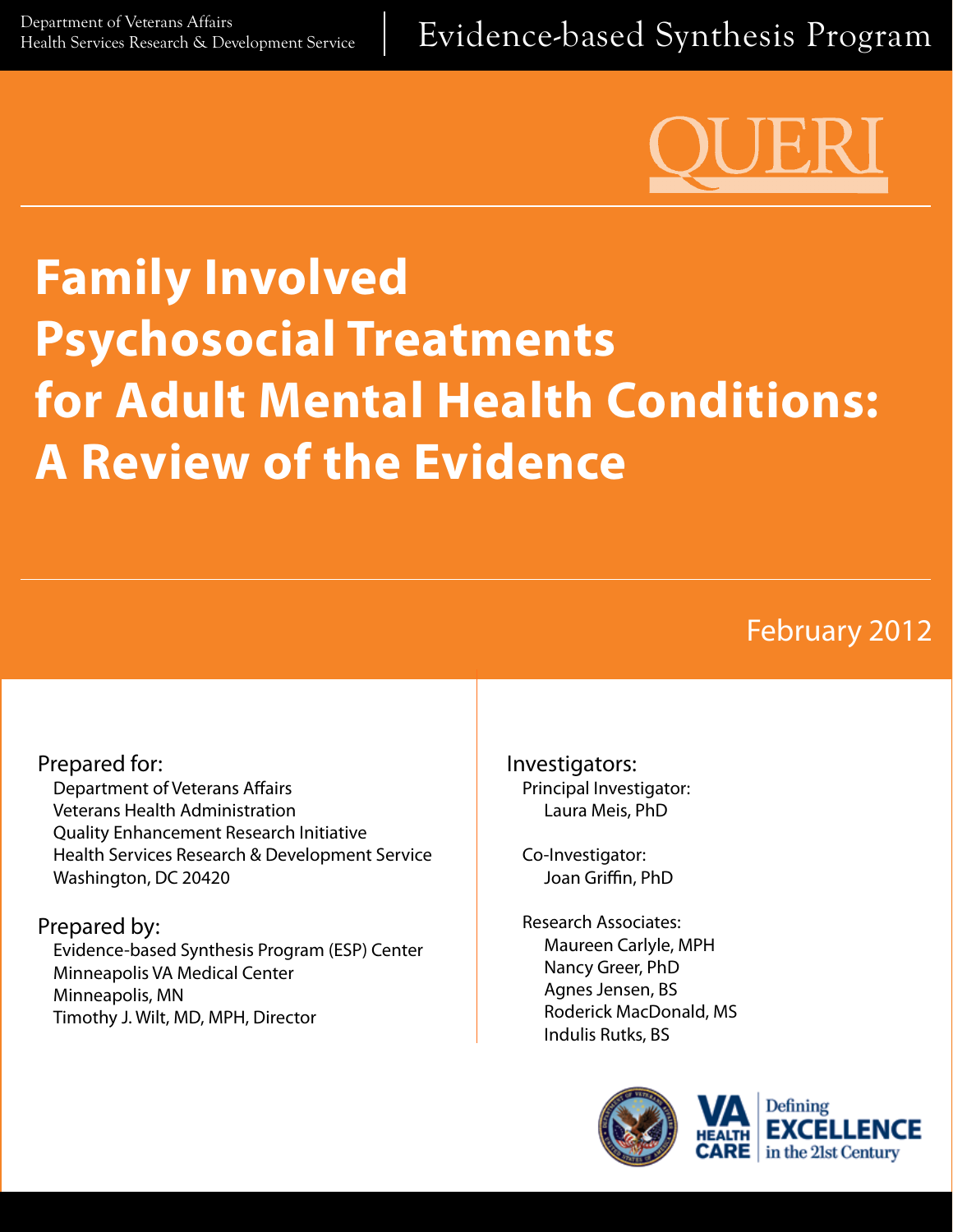

# **Family Involved Psychosocial Treatments for Adult Mental Health Conditions: A Review of the Evidence**

# February 2012

#### Prepared for:

Department of Veterans Affairs Veterans Health Administration Quality Enhancement Research Initiative Health Services Research & Development Service Washington, DC 20420

#### Prepared by:

Evidence-based Synthesis Program (ESP) Center Minneapolis VA Medical Center Minneapolis, MN Timothy J. Wilt, MD, MPH, Director

Investigators: Principal Investigator: Laura Meis, PhD

Co-Investigator: Joan Griffin, PhD

Research Associates: Maureen Carlyle, MPH Nancy Greer, PhD Agnes Jensen, BS Roderick MacDonald, MS Indulis Rutks, BS



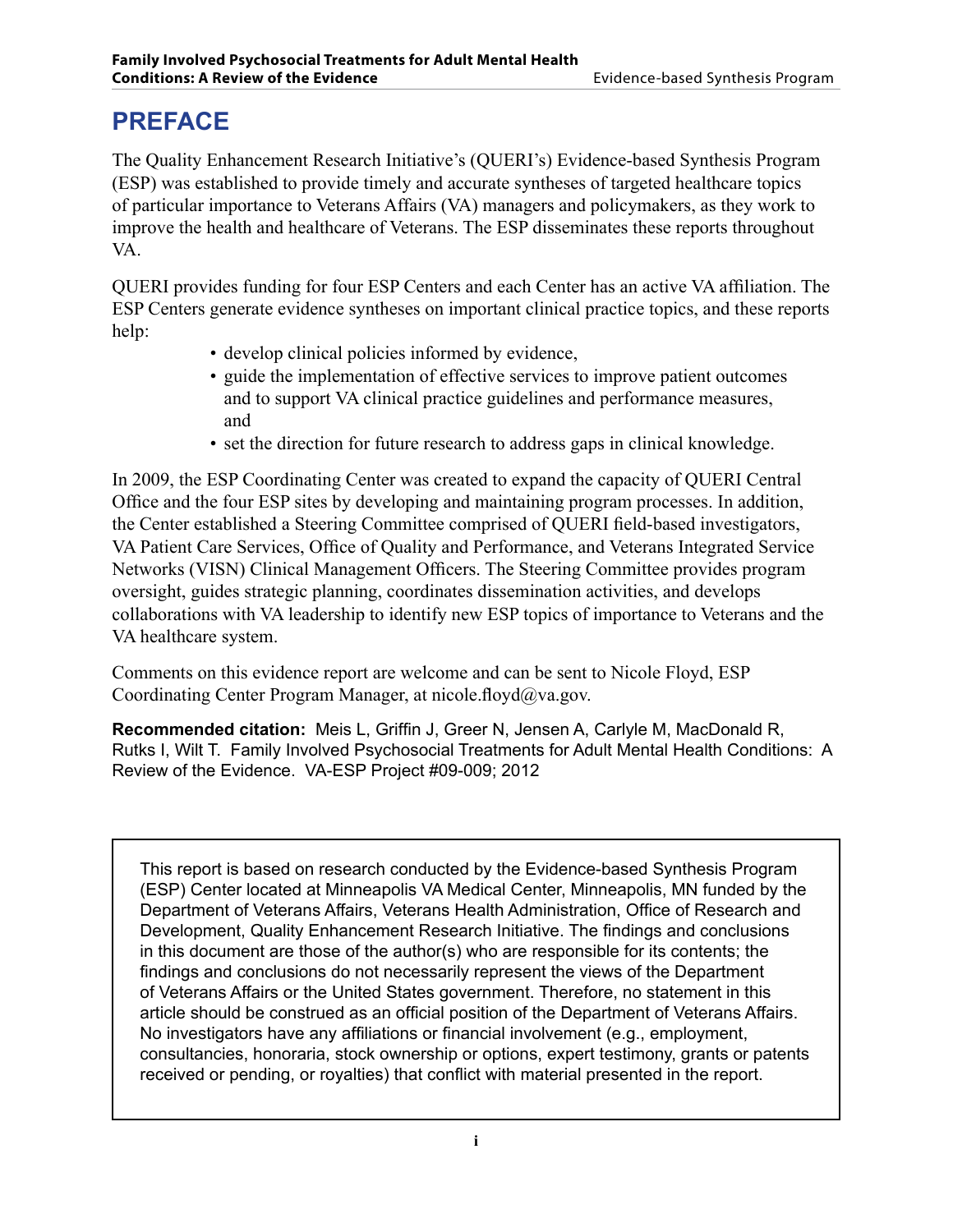## **PREFACE**

The Quality Enhancement Research Initiative's (QUERI's) Evidence-based Synthesis Program (ESP) was established to provide timely and accurate syntheses of targeted healthcare topics of particular importance to Veterans Affairs (VA) managers and policymakers, as they work to improve the health and healthcare of Veterans. The ESP disseminates these reports throughout VA.

QUERI provides funding for four ESP Centers and each Center has an active VA affiliation. The ESP Centers generate evidence syntheses on important clinical practice topics, and these reports help:

- develop clinical policies informed by evidence,
- guide the implementation of effective services to improve patient outcomes and to support VA clinical practice guidelines and performance measures, and
- set the direction for future research to address gaps in clinical knowledge.

In 2009, the ESP Coordinating Center was created to expand the capacity of QUERI Central Office and the four ESP sites by developing and maintaining program processes. In addition, the Center established a Steering Committee comprised of QUERI field-based investigators, VA Patient Care Services, Office of Quality and Performance, and Veterans Integrated Service Networks (VISN) Clinical Management Officers. The Steering Committee provides program oversight, guides strategic planning, coordinates dissemination activities, and develops collaborations with VA leadership to identify new ESP topics of importance to Veterans and the VA healthcare system.

Comments on this evidence report are welcome and can be sent to Nicole Floyd, ESP Coordinating Center Program Manager, at nicole.floyd $\omega$ va.gov.

**Recommended citation:** Meis L, Griffin J, Greer N, Jensen A, Carlyle M, MacDonald R, Rutks I, Wilt T. Family Involved Psychosocial Treatments for Adult Mental Health Conditions: A Review of the Evidence. VA-ESP Project #09-009; 2012

This report is based on research conducted by the Evidence-based Synthesis Program (ESP) Center located at Minneapolis VA Medical Center, Minneapolis, MN funded by the Department of Veterans Affairs, Veterans Health Administration, Office of Research and Development, Quality Enhancement Research Initiative. The findings and conclusions in this document are those of the author(s) who are responsible for its contents; the findings and conclusions do not necessarily represent the views of the Department of Veterans Affairs or the United States government. Therefore, no statement in this article should be construed as an official position of the Department of Veterans Affairs. No investigators have any affiliations or financial involvement (e.g., employment, consultancies, honoraria, stock ownership or options, expert testimony, grants or patents received or pending, or royalties) that conflict with material presented in the report.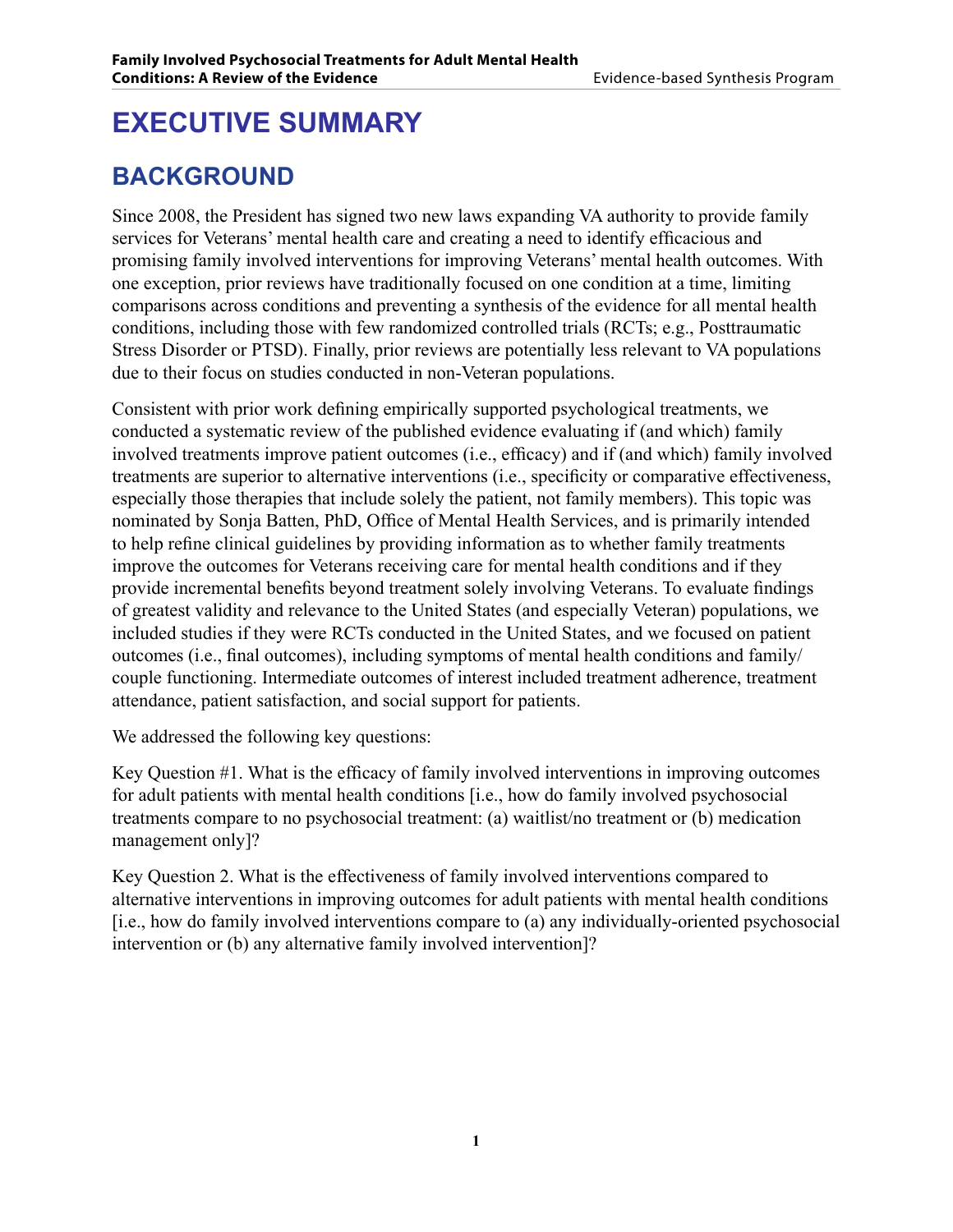# **EXECUTIVE SUMMARY**

## **BACKGROUND**

Since 2008, the President has signed two new laws expanding VA authority to provide family services for Veterans' mental health care and creating a need to identify efficacious and promising family involved interventions for improving Veterans' mental health outcomes. With one exception, prior reviews have traditionally focused on one condition at a time, limiting comparisons across conditions and preventing a synthesis of the evidence for all mental health conditions, including those with few randomized controlled trials (RCTs; e.g., Posttraumatic Stress Disorder or PTSD). Finally, prior reviews are potentially less relevant to VA populations due to their focus on studies conducted in non-Veteran populations.

Consistent with prior work defining empirically supported psychological treatments, we conducted a systematic review of the published evidence evaluating if (and which) family involved treatments improve patient outcomes (i.e., efficacy) and if (and which) family involved treatments are superior to alternative interventions (i.e., specificity or comparative effectiveness, especially those therapies that include solely the patient, not family members). This topic was nominated by Sonja Batten, PhD, Office of Mental Health Services, and is primarily intended to help refine clinical guidelines by providing information as to whether family treatments improve the outcomes for Veterans receiving care for mental health conditions and if they provide incremental benefits beyond treatment solely involving Veterans. To evaluate findings of greatest validity and relevance to the United States (and especially Veteran) populations, we included studies if they were RCTs conducted in the United States, and we focused on patient outcomes (i.e., final outcomes), including symptoms of mental health conditions and family/ couple functioning. Intermediate outcomes of interest included treatment adherence, treatment attendance, patient satisfaction, and social support for patients.

We addressed the following key questions:

Key Question #1. What is the efficacy of family involved interventions in improving outcomes for adult patients with mental health conditions [i.e., how do family involved psychosocial treatments compare to no psychosocial treatment: (a) waitlist/no treatment or (b) medication management only]?

Key Question 2. What is the effectiveness of family involved interventions compared to alternative interventions in improving outcomes for adult patients with mental health conditions [i.e., how do family involved interventions compare to (a) any individually-oriented psychosocial intervention or (b) any alternative family involved intervention]?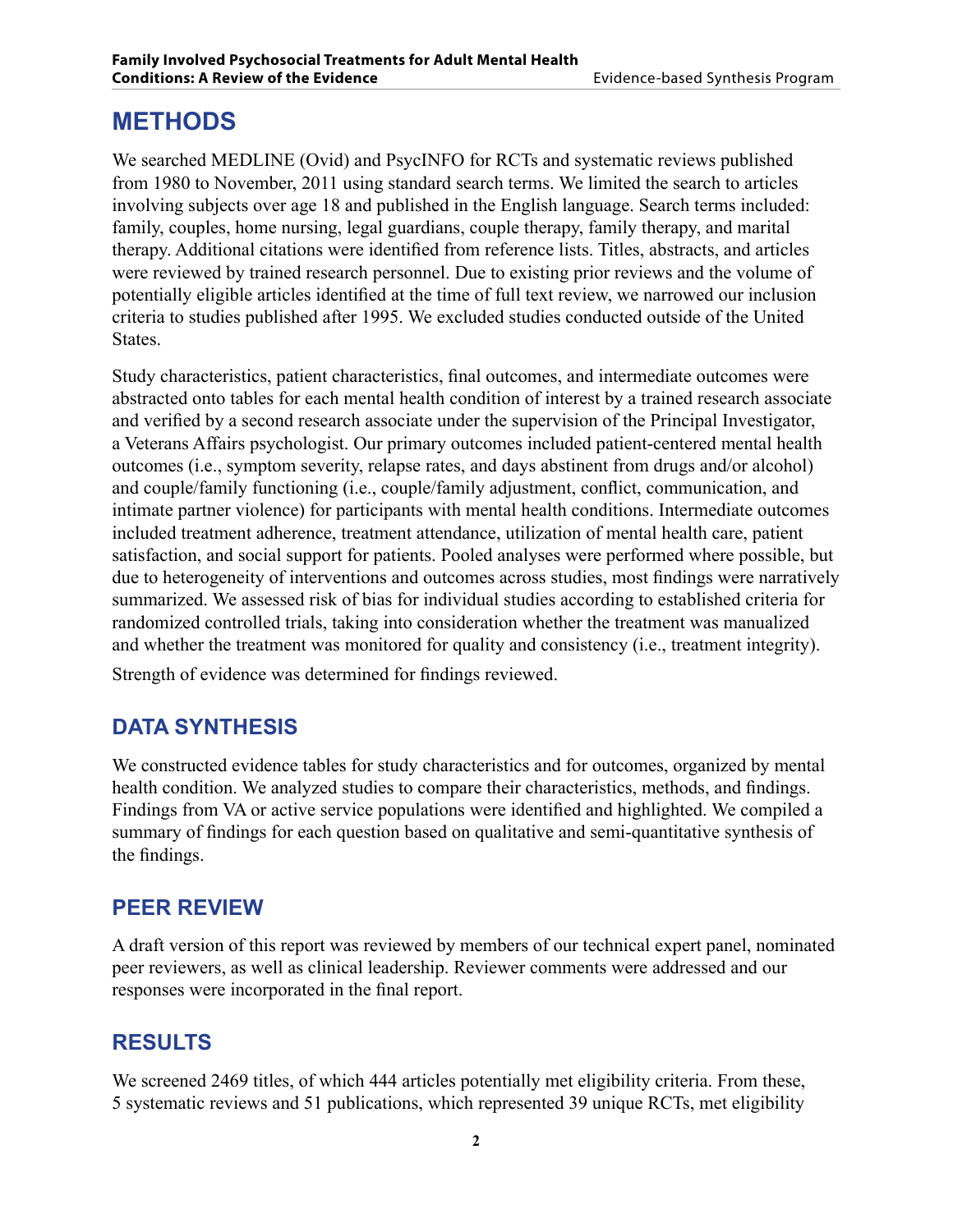## **METHODS**

We searched MEDLINE (Ovid) and PsycINFO for RCTs and systematic reviews published from 1980 to November, 2011 using standard search terms. We limited the search to articles involving subjects over age 18 and published in the English language. Search terms included: family, couples, home nursing, legal guardians, couple therapy, family therapy, and marital therapy. Additional citations were identified from reference lists. Titles, abstracts, and articles were reviewed by trained research personnel. Due to existing prior reviews and the volume of potentially eligible articles identified at the time of full text review, we narrowed our inclusion criteria to studies published after 1995. We excluded studies conducted outside of the United States.

Study characteristics, patient characteristics, final outcomes, and intermediate outcomes were abstracted onto tables for each mental health condition of interest by a trained research associate and verified by a second research associate under the supervision of the Principal Investigator, a Veterans Affairs psychologist. Our primary outcomes included patient-centered mental health outcomes (i.e., symptom severity, relapse rates, and days abstinent from drugs and/or alcohol) and couple/family functioning (i.e., couple/family adjustment, conflict, communication, and intimate partner violence) for participants with mental health conditions. Intermediate outcomes included treatment adherence, treatment attendance, utilization of mental health care, patient satisfaction, and social support for patients. Pooled analyses were performed where possible, but due to heterogeneity of interventions and outcomes across studies, most findings were narratively summarized. We assessed risk of bias for individual studies according to established criteria for randomized controlled trials, taking into consideration whether the treatment was manualized and whether the treatment was monitored for quality and consistency (i.e., treatment integrity).

Strength of evidence was determined for findings reviewed.

## **DATA SYNTHESIS**

We constructed evidence tables for study characteristics and for outcomes, organized by mental health condition. We analyzed studies to compare their characteristics, methods, and findings. Findings from VA or active service populations were identified and highlighted. We compiled a summary of findings for each question based on qualitative and semi-quantitative synthesis of the findings.

## **PEER REVIEW**

A draft version of this report was reviewed by members of our technical expert panel, nominated peer reviewers, as well as clinical leadership. Reviewer comments were addressed and our responses were incorporated in the final report.

## **RESULTS**

We screened 2469 titles, of which 444 articles potentially met eligibility criteria. From these, 5 systematic reviews and 51 publications, which represented 39 unique RCTs, met eligibility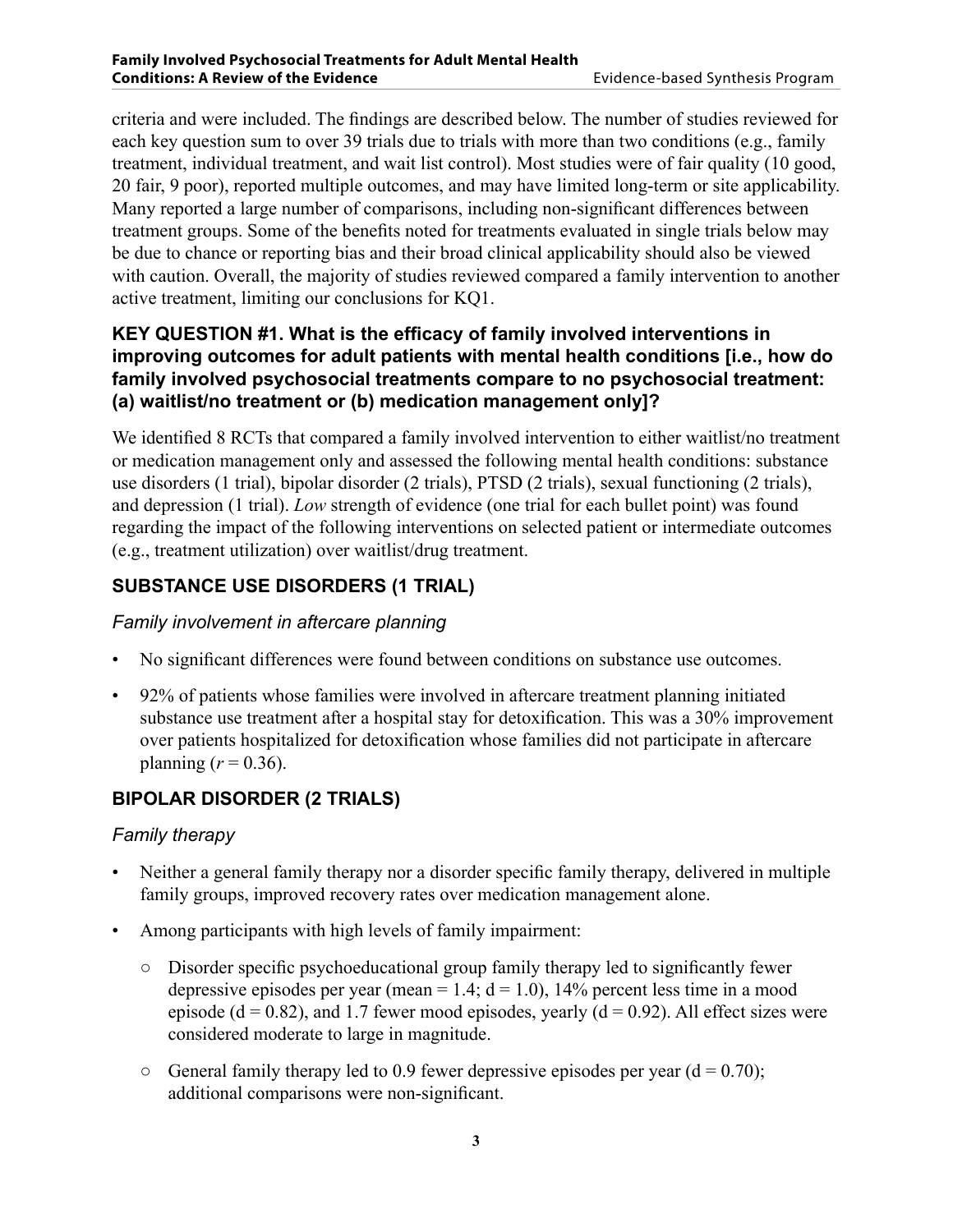criteria and were included. The findings are described below. The number of studies reviewed for each key question sum to over 39 trials due to trials with more than two conditions (e.g., family treatment, individual treatment, and wait list control). Most studies were of fair quality (10 good, 20 fair, 9 poor), reported multiple outcomes, and may have limited long-term or site applicability. Many reported a large number of comparisons, including non-significant differences between treatment groups. Some of the benefits noted for treatments evaluated in single trials below may be due to chance or reporting bias and their broad clinical applicability should also be viewed with caution. Overall, the majority of studies reviewed compared a family intervention to another active treatment, limiting our conclusions for KQ1.

#### **Key Question #1. What is the efficacy of family involved interventions in improving outcomes for adult patients with mental health conditions [i.e., how do family involved psychosocial treatments compare to no psychosocial treatment: (a) waitlist/no treatment or (b) medication management only]?**

We identified 8 RCTs that compared a family involved intervention to either waitlist/no treatment or medication management only and assessed the following mental health conditions: substance use disorders (1 trial), bipolar disorder (2 trials), PTSD (2 trials), sexual functioning (2 trials), and depression (1 trial). *Low* strength of evidence (one trial for each bullet point) was found regarding the impact of the following interventions on selected patient or intermediate outcomes (e.g., treatment utilization) over waitlist/drug treatment.

#### **Substance Use Disorders (1 trial)**

#### *Family involvement in aftercare planning*

- No significant differences were found between conditions on substance use outcomes.
- 92% of patients whose families were involved in aftercare treatment planning initiated substance use treatment after a hospital stay for detoxification. This was a 30% improvement over patients hospitalized for detoxification whose families did not participate in aftercare planning  $(r = 0.36)$ .

#### **Bipolar Disorder (2 trials)**

#### *Family therapy*

- Neither a general family therapy nor a disorder specific family therapy, delivered in multiple family groups, improved recovery rates over medication management alone.
- Among participants with high levels of family impairment:
	- Disorder specific psychoeducational group family therapy led to significantly fewer depressive episodes per year (mean = 1.4;  $d = 1.0$ ), 14% percent less time in a mood episode ( $d = 0.82$ ), and 1.7 fewer mood episodes, yearly ( $d = 0.92$ ). All effect sizes were considered moderate to large in magnitude.
	- $\circ$  General family therapy led to 0.9 fewer depressive episodes per year (d = 0.70); additional comparisons were non-significant.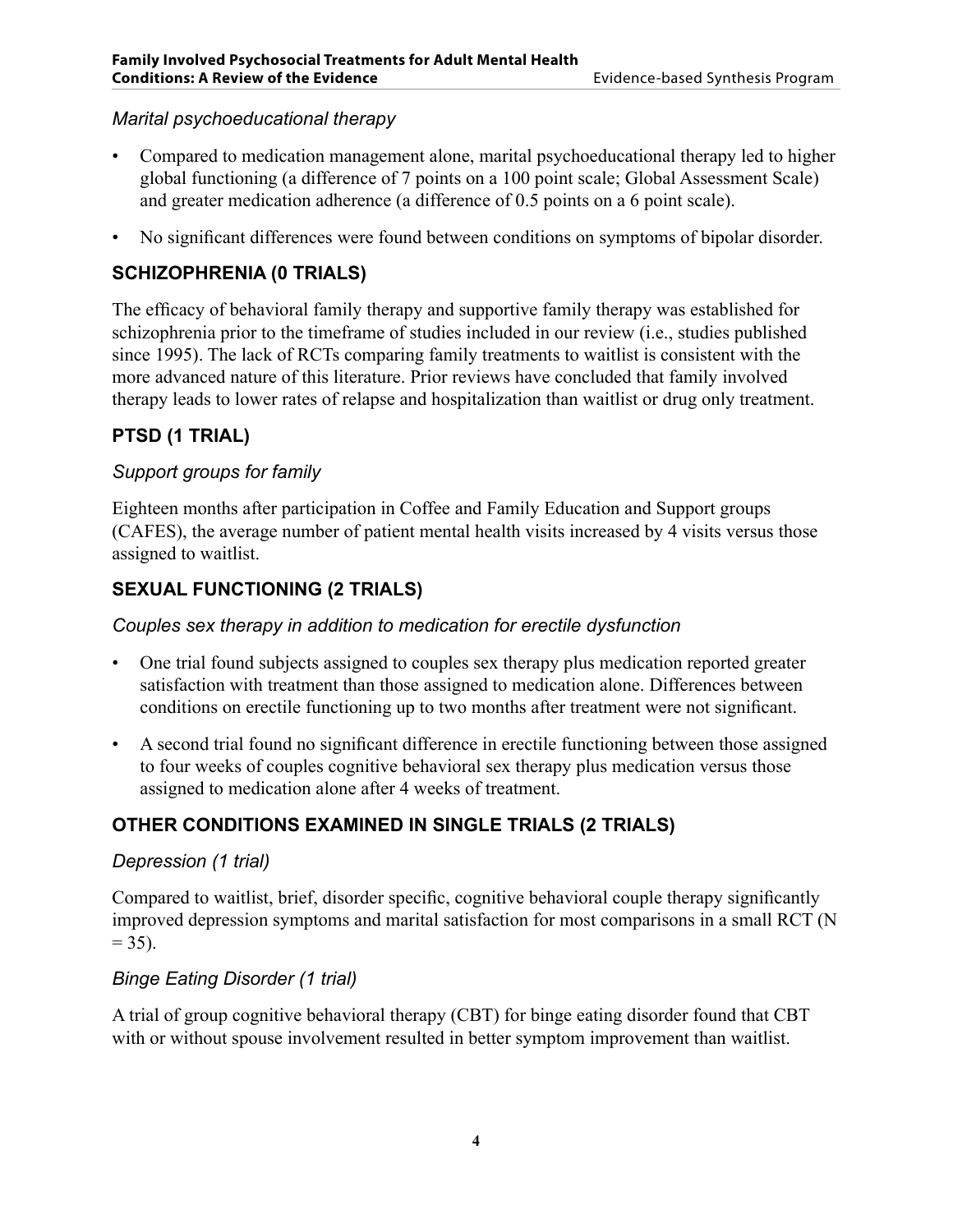#### *Marital psychoeducational therapy*

- Compared to medication management alone, marital psychoeducational therapy led to higher global functioning (a difference of 7 points on a 100 point scale; Global Assessment Scale) and greater medication adherence (a difference of 0.5 points on a 6 point scale).
- No significant differences were found between conditions on symptoms of bipolar disorder.

#### **Schizophrenia (0 trials)**

The efficacy of behavioral family therapy and supportive family therapy was established for schizophrenia prior to the timeframe of studies included in our review (i.e., studies published since 1995). The lack of RCTs comparing family treatments to waitlist is consistent with the more advanced nature of this literature. Prior reviews have concluded that family involved therapy leads to lower rates of relapse and hospitalization than waitlist or drug only treatment.

#### **PTSD (1 trial)**

#### *Support groups for family*

Eighteen months after participation in Coffee and Family Education and Support groups (CAFES), the average number of patient mental health visits increased by 4 visits versus those assigned to waitlist.

#### **Sexual Functioning (2 trials)**

#### *Couples sex therapy in addition to medication for erectile dysfunction*

- One trial found subjects assigned to couples sex therapy plus medication reported greater satisfaction with treatment than those assigned to medication alone. Differences between conditions on erectile functioning up to two months after treatment were not significant.
- A second trial found no significant difference in erectile functioning between those assigned to four weeks of couples cognitive behavioral sex therapy plus medication versus those assigned to medication alone after 4 weeks of treatment.

#### **Other Conditions Examined in Single Trials (2 trials)**

#### *Depression (1 trial)*

Compared to waitlist, brief, disorder specific, cognitive behavioral couple therapy significantly improved depression symptoms and marital satisfaction for most comparisons in a small RCT (N  $= 35$ ).

#### *Binge Eating Disorder (1 trial)*

A trial of group cognitive behavioral therapy (CBT) for binge eating disorder found that CBT with or without spouse involvement resulted in better symptom improvement than waitlist.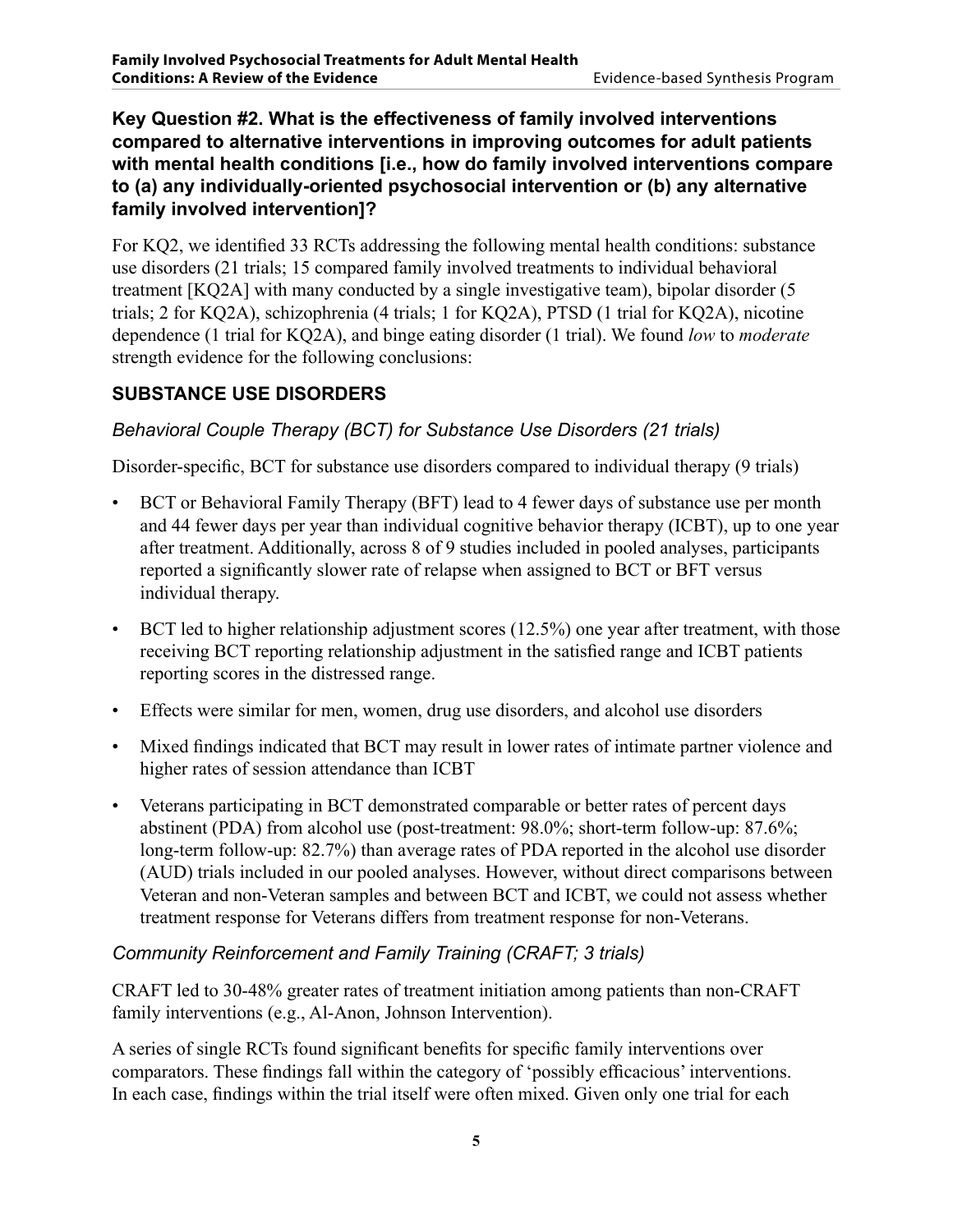**Key Question #2. What is the effectiveness of family involved interventions compared to alternative interventions in improving outcomes for adult patients with mental health conditions [i.e., how do family involved interventions compare to (a) any individually-oriented psychosocial intervention or (b) any alternative family involved intervention]?**

For KQ2, we identified 33 RCTs addressing the following mental health conditions: substance use disorders (21 trials; 15 compared family involved treatments to individual behavioral treatment [KQ2A] with many conducted by a single investigative team), bipolar disorder (5 trials; 2 for KQ2A), schizophrenia (4 trials; 1 for KQ2A), PTSD (1 trial for KQ2A), nicotine dependence (1 trial for KQ2A), and binge eating disorder (1 trial). We found *low* to *moderate* strength evidence for the following conclusions:

#### **Substance Use Disorders**

#### *Behavioral Couple Therapy (BCT) for Substance Use Disorders (21 trials)*

Disorder-specific, BCT for substance use disorders compared to individual therapy (9 trials)

- BCT or Behavioral Family Therapy (BFT) lead to 4 fewer days of substance use per month and 44 fewer days per year than individual cognitive behavior therapy (ICBT), up to one year after treatment. Additionally, across 8 of 9 studies included in pooled analyses, participants reported a significantly slower rate of relapse when assigned to BCT or BFT versus individual therapy.
- BCT led to higher relationship adjustment scores (12.5%) one year after treatment, with those receiving BCT reporting relationship adjustment in the satisfied range and ICBT patients reporting scores in the distressed range.
- Effects were similar for men, women, drug use disorders, and alcohol use disorders
- Mixed findings indicated that BCT may result in lower rates of intimate partner violence and higher rates of session attendance than ICBT
- Veterans participating in BCT demonstrated comparable or better rates of percent days abstinent (PDA) from alcohol use (post-treatment: 98.0%; short-term follow-up: 87.6%; long-term follow-up: 82.7%) than average rates of PDA reported in the alcohol use disorder (AUD) trials included in our pooled analyses. However, without direct comparisons between Veteran and non-Veteran samples and between BCT and ICBT, we could not assess whether treatment response for Veterans differs from treatment response for non-Veterans.

#### *Community Reinforcement and Family Training (CRAFT; 3 trials)*

CRAFT led to 30-48% greater rates of treatment initiation among patients than non-CRAFT family interventions (e.g., Al-Anon, Johnson Intervention).

A series of single RCTs found significant benefits for specific family interventions over comparators. These findings fall within the category of 'possibly efficacious' interventions. In each case, findings within the trial itself were often mixed. Given only one trial for each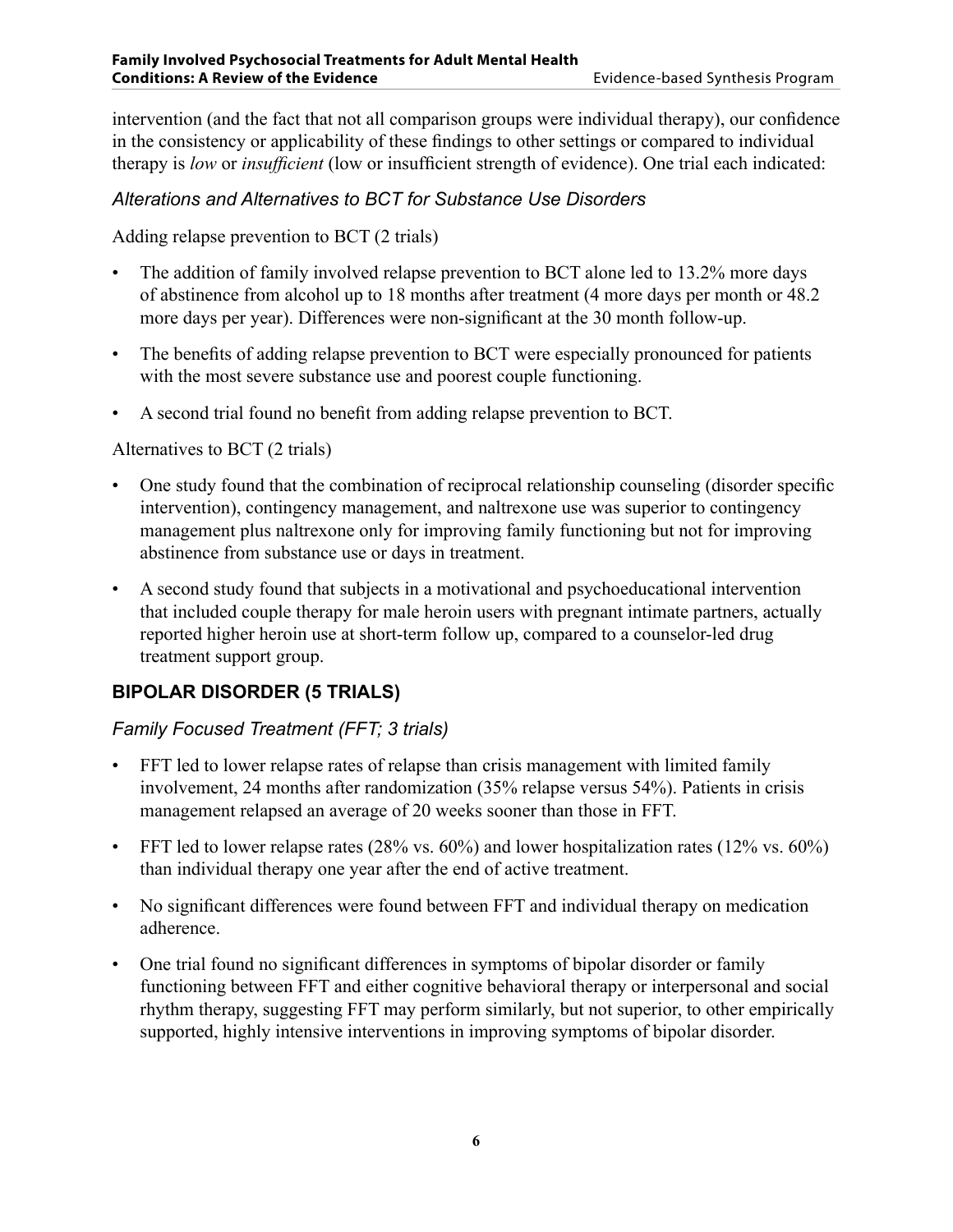intervention (and the fact that not all comparison groups were individual therapy), our confidence in the consistency or applicability of these findings to other settings or compared to individual therapy is *low* or *insufficient* (low or insufficient strength of evidence). One trial each indicated:

#### *Alterations and Alternatives to BCT for Substance Use Disorders*

Adding relapse prevention to BCT (2 trials)

- The addition of family involved relapse prevention to BCT alone led to 13.2% more days of abstinence from alcohol up to 18 months after treatment (4 more days per month or 48.2 more days per year). Differences were non-significant at the 30 month follow-up.
- The benefits of adding relapse prevention to BCT were especially pronounced for patients with the most severe substance use and poorest couple functioning.
- A second trial found no benefit from adding relapse prevention to BCT.

#### Alternatives to BCT (2 trials)

- One study found that the combination of reciprocal relationship counseling (disorder specific intervention), contingency management, and naltrexone use was superior to contingency management plus naltrexone only for improving family functioning but not for improving abstinence from substance use or days in treatment.
- A second study found that subjects in a motivational and psychoeducational intervention that included couple therapy for male heroin users with pregnant intimate partners, actually reported higher heroin use at short-term follow up, compared to a counselor-led drug treatment support group.

#### **Bipolar Disorder (5 trials)**

#### *Family Focused Treatment (FFT; 3 trials)*

- FFT led to lower relapse rates of relapse than crisis management with limited family involvement, 24 months after randomization (35% relapse versus 54%). Patients in crisis management relapsed an average of 20 weeks sooner than those in FFT.
- FFT led to lower relapse rates  $(28\% \text{ vs. } 60\%)$  and lower hospitalization rates  $(12\% \text{ vs. } 60\%)$ than individual therapy one year after the end of active treatment.
- No significant differences were found between FFT and individual therapy on medication adherence.
- One trial found no significant differences in symptoms of bipolar disorder or family functioning between FFT and either cognitive behavioral therapy or interpersonal and social rhythm therapy, suggesting FFT may perform similarly, but not superior, to other empirically supported, highly intensive interventions in improving symptoms of bipolar disorder.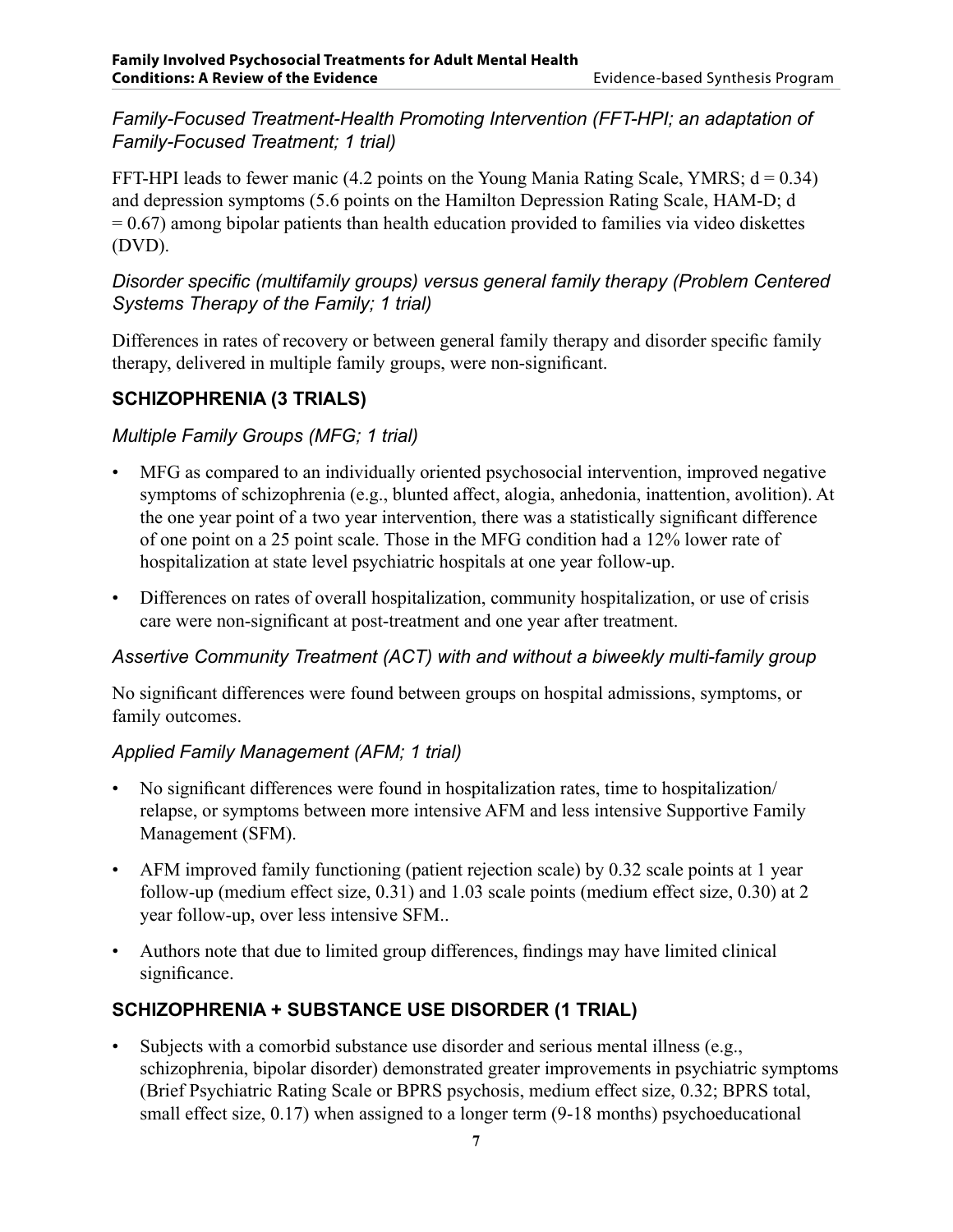#### *Family-Focused Treatment-Health Promoting Intervention (FFT-HPI; an adaptation of Family-Focused Treatment; 1 trial)*

FFT-HPI leads to fewer manic (4.2 points on the Young Mania Rating Scale, YMRS;  $d = 0.34$ ) and depression symptoms (5.6 points on the Hamilton Depression Rating Scale, HAM-D; d  $= 0.67$ ) among bipolar patients than health education provided to families via video diskettes (DVD).

#### *Disorder specific (multifamily groups) versus general family therapy (Problem Centered Systems Therapy of the Family; 1 trial)*

Differences in rates of recovery or between general family therapy and disorder specific family therapy, delivered in multiple family groups, were non-significant.

#### **Schizophrenia (3 trials)**

#### *Multiple Family Groups (MFG; 1 trial)*

- MFG as compared to an individually oriented psychosocial intervention, improved negative symptoms of schizophrenia (e.g., blunted affect, alogia, anhedonia, inattention, avolition). At the one year point of a two year intervention, there was a statistically significant difference of one point on a 25 point scale. Those in the MFG condition had a 12% lower rate of hospitalization at state level psychiatric hospitals at one year follow-up.
- Differences on rates of overall hospitalization, community hospitalization, or use of crisis care were non-significant at post-treatment and one year after treatment.

#### *Assertive Community Treatment (ACT) with and without a biweekly multi-family group*

No significant differences were found between groups on hospital admissions, symptoms, or family outcomes.

#### *Applied Family Management (AFM; 1 trial)*

- No significant differences were found in hospitalization rates, time to hospitalization/ relapse, or symptoms between more intensive AFM and less intensive Supportive Family Management (SFM).
- AFM improved family functioning (patient rejection scale) by 0.32 scale points at 1 year follow-up (medium effect size, 0.31) and 1.03 scale points (medium effect size, 0.30) at 2 year follow-up, over less intensive SFM..
- Authors note that due to limited group differences, findings may have limited clinical significance.

#### **Schizophrenia + Substance Use Disorder (1 trial)**

• Subjects with a comorbid substance use disorder and serious mental illness (e.g., schizophrenia, bipolar disorder) demonstrated greater improvements in psychiatric symptoms (Brief Psychiatric Rating Scale or BPRS psychosis, medium effect size, 0.32; BPRS total, small effect size, 0.17) when assigned to a longer term (9-18 months) psychoeducational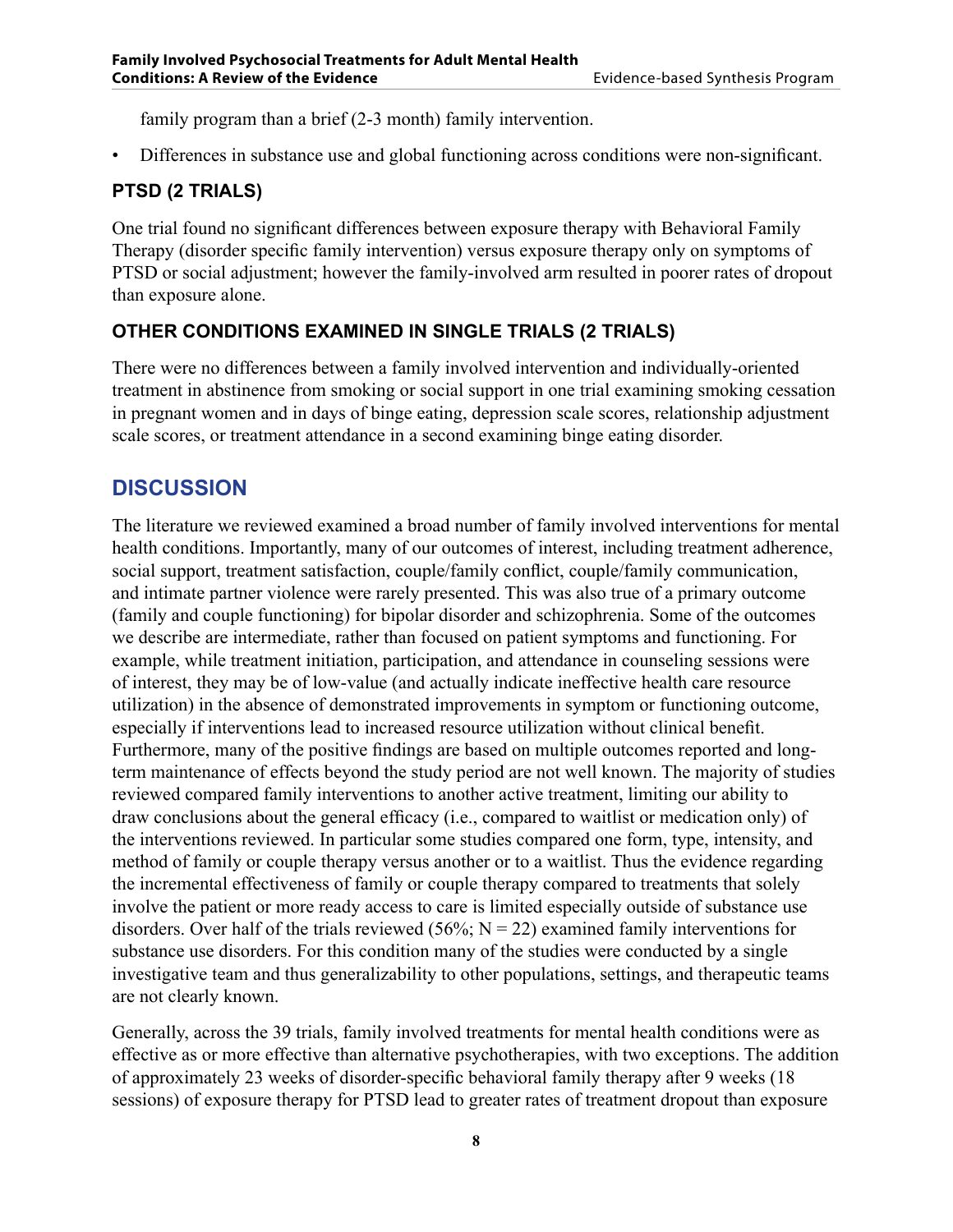family program than a brief (2-3 month) family intervention.

• Differences in substance use and global functioning across conditions were non-significant.

#### **PTSD (2 trials)**

One trial found no significant differences between exposure therapy with Behavioral Family Therapy (disorder specific family intervention) versus exposure therapy only on symptoms of PTSD or social adjustment; however the family-involved arm resulted in poorer rates of dropout than exposure alone.

#### **Other Conditions Examined in Single Trials (2 trials)**

There were no differences between a family involved intervention and individually-oriented treatment in abstinence from smoking or social support in one trial examining smoking cessation in pregnant women and in days of binge eating, depression scale scores, relationship adjustment scale scores, or treatment attendance in a second examining binge eating disorder.

#### **DISCUSSION**

The literature we reviewed examined a broad number of family involved interventions for mental health conditions. Importantly, many of our outcomes of interest, including treatment adherence, social support, treatment satisfaction, couple/family conflict, couple/family communication, and intimate partner violence were rarely presented. This was also true of a primary outcome (family and couple functioning) for bipolar disorder and schizophrenia. Some of the outcomes we describe are intermediate, rather than focused on patient symptoms and functioning. For example, while treatment initiation, participation, and attendance in counseling sessions were of interest, they may be of low-value (and actually indicate ineffective health care resource utilization) in the absence of demonstrated improvements in symptom or functioning outcome, especially if interventions lead to increased resource utilization without clinical benefit. Furthermore, many of the positive findings are based on multiple outcomes reported and longterm maintenance of effects beyond the study period are not well known. The majority of studies reviewed compared family interventions to another active treatment, limiting our ability to draw conclusions about the general efficacy (i.e., compared to waitlist or medication only) of the interventions reviewed. In particular some studies compared one form, type, intensity, and method of family or couple therapy versus another or to a waitlist. Thus the evidence regarding the incremental effectiveness of family or couple therapy compared to treatments that solely involve the patient or more ready access to care is limited especially outside of substance use disorders. Over half of the trials reviewed (56%;  $N = 22$ ) examined family interventions for substance use disorders. For this condition many of the studies were conducted by a single investigative team and thus generalizability to other populations, settings, and therapeutic teams are not clearly known.

Generally, across the 39 trials, family involved treatments for mental health conditions were as effective as or more effective than alternative psychotherapies, with two exceptions. The addition of approximately 23 weeks of disorder-specific behavioral family therapy after 9 weeks (18 sessions) of exposure therapy for PTSD lead to greater rates of treatment dropout than exposure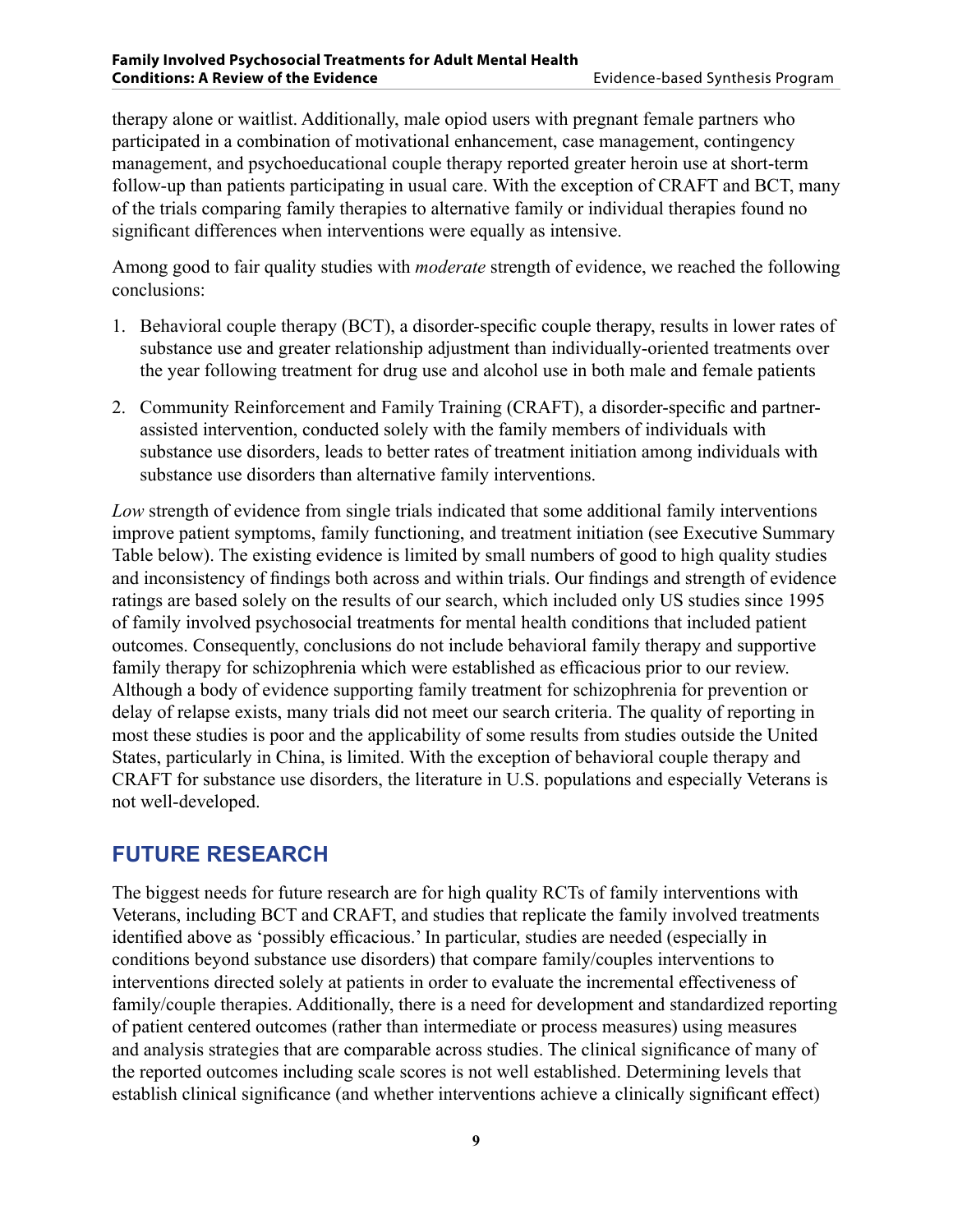Among good to fair quality studies with *moderate* strength of evidence, we reached the following conclusions:

- 1. Behavioral couple therapy (BCT), a disorder-specific couple therapy, results in lower rates of substance use and greater relationship adjustment than individually-oriented treatments over the year following treatment for drug use and alcohol use in both male and female patients
- 2. Community Reinforcement and Family Training (CRAFT), a disorder-specific and partnerassisted intervention, conducted solely with the family members of individuals with substance use disorders, leads to better rates of treatment initiation among individuals with substance use disorders than alternative family interventions.

*Low* strength of evidence from single trials indicated that some additional family interventions improve patient symptoms, family functioning, and treatment initiation (see Executive Summary Table below). The existing evidence is limited by small numbers of good to high quality studies and inconsistency of findings both across and within trials. Our findings and strength of evidence ratings are based solely on the results of our search, which included only US studies since 1995 of family involved psychosocial treatments for mental health conditions that included patient outcomes. Consequently, conclusions do not include behavioral family therapy and supportive family therapy for schizophrenia which were established as efficacious prior to our review. Although a body of evidence supporting family treatment for schizophrenia for prevention or delay of relapse exists, many trials did not meet our search criteria. The quality of reporting in most these studies is poor and the applicability of some results from studies outside the United States, particularly in China, is limited. With the exception of behavioral couple therapy and CRAFT for substance use disorders, the literature in U.S. populations and especially Veterans is not well-developed.

#### **FUTURE RESEARCH**

The biggest needs for future research are for high quality RCTs of family interventions with Veterans, including BCT and CRAFT, and studies that replicate the family involved treatments identified above as 'possibly efficacious.' In particular, studies are needed (especially in conditions beyond substance use disorders) that compare family/couples interventions to interventions directed solely at patients in order to evaluate the incremental effectiveness of family/couple therapies. Additionally, there is a need for development and standardized reporting of patient centered outcomes (rather than intermediate or process measures) using measures and analysis strategies that are comparable across studies. The clinical significance of many of the reported outcomes including scale scores is not well established. Determining levels that establish clinical significance (and whether interventions achieve a clinically significant effect)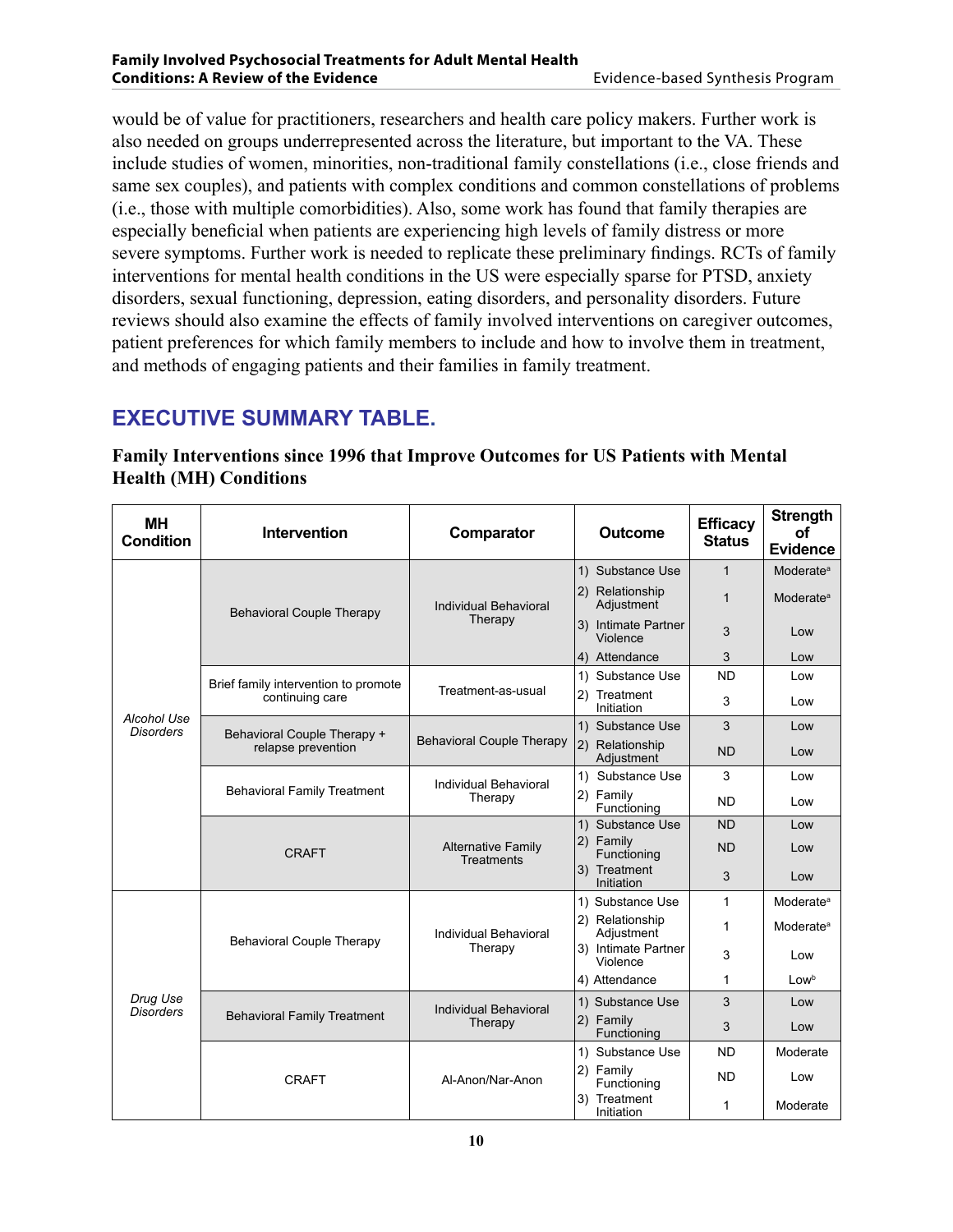would be of value for practitioners, researchers and health care policy makers. Further work is also needed on groups underrepresented across the literature, but important to the VA. These include studies of women, minorities, non-traditional family constellations (i.e., close friends and same sex couples), and patients with complex conditions and common constellations of problems (i.e., those with multiple comorbidities). Also, some work has found that family therapies are especially beneficial when patients are experiencing high levels of family distress or more severe symptoms. Further work is needed to replicate these preliminary findings. RCTs of family interventions for mental health conditions in the US were especially sparse for PTSD, anxiety disorders, sexual functioning, depression, eating disorders, and personality disorders. Future reviews should also examine the effects of family involved interventions on caregiver outcomes, patient preferences for which family members to include and how to involve them in treatment, and methods of engaging patients and their families in family treatment.

#### **EXECUTIVE SUMMARY TABLE.**

| <b>MH</b><br><b>Condition</b>   | <b>Intervention</b>                                     | Comparator                                     | <b>Outcome</b>                  | <b>Efficacy</b><br><b>Status</b> | <b>Strength</b><br>Οf<br><b>Evidence</b> |
|---------------------------------|---------------------------------------------------------|------------------------------------------------|---------------------------------|----------------------------------|------------------------------------------|
|                                 | <b>Behavioral Couple Therapy</b>                        | Individual Behavioral<br>Therapy               | 1) Substance Use                | $\mathbf{1}$                     | <b>Moderate</b> <sup>a</sup>             |
|                                 |                                                         |                                                | 2) Relationship<br>Adjustment   | $\mathbf{1}$                     | Moderate <sup>a</sup>                    |
|                                 |                                                         |                                                | 3) Intimate Partner<br>Violence | 3                                | Low                                      |
|                                 |                                                         |                                                | 4) Attendance                   | 3                                | Low                                      |
|                                 | Brief family intervention to promote<br>continuing care | Treatment-as-usual                             | 1) Substance Use                | <b>ND</b>                        | Low                                      |
| Alcohol Use<br><b>Disorders</b> |                                                         |                                                | 2) Treatment<br>Initiation      | 3                                | Low                                      |
|                                 | Behavioral Couple Therapy +                             | <b>Behavioral Couple Therapy</b>               | 1) Substance Use                | 3                                | Low                                      |
|                                 | relapse prevention                                      |                                                | 2) Relationship<br>Adjustment   | <b>ND</b>                        | Low                                      |
|                                 | <b>Behavioral Family Treatment</b>                      | Individual Behavioral<br>Therapy               | Substance Use<br>1)             | 3                                | Low                                      |
|                                 |                                                         |                                                | 2) Family<br>Functioning        | <b>ND</b>                        | Low                                      |
|                                 | <b>CRAFT</b>                                            | <b>Alternative Family</b><br><b>Treatments</b> | 1) Substance Use                | <b>ND</b>                        | Low                                      |
|                                 |                                                         |                                                | 2) Family<br>Functioning        | <b>ND</b>                        | Low                                      |
|                                 |                                                         |                                                | 3) Treatment<br>Initiation      | 3                                | Low                                      |
|                                 | <b>Behavioral Couple Therapy</b>                        | Individual Behavioral<br>Therapy               | 1) Substance Use                | 1                                | Moderate <sup>a</sup>                    |
|                                 |                                                         |                                                | 2) Relationship<br>Adjustment   | 1                                | Moderate <sup>a</sup>                    |
| Drug Use<br><b>Disorders</b>    |                                                         |                                                | 3) Intimate Partner<br>Violence | 3                                | Low                                      |
|                                 |                                                         |                                                | 4) Attendance                   | 1                                | Low <sup>b</sup>                         |
|                                 | <b>Behavioral Family Treatment</b>                      | Individual Behavioral<br>Therapy               | 1) Substance Use                | 3                                | Low                                      |
|                                 |                                                         |                                                | 2) Family<br>Functioning        | 3                                | Low                                      |
|                                 | <b>CRAFT</b>                                            | Al-Anon/Nar-Anon                               | 1) Substance Use                | <b>ND</b>                        | Moderate                                 |
|                                 |                                                         |                                                | 2) Family<br>Functioning        | <b>ND</b>                        | Low                                      |
|                                 |                                                         |                                                | Treatment<br>3)<br>Initiation   | 1                                | Moderate                                 |

**Family Interventions since 1996 that Improve Outcomes for US Patients with Mental Health (MH) Conditions**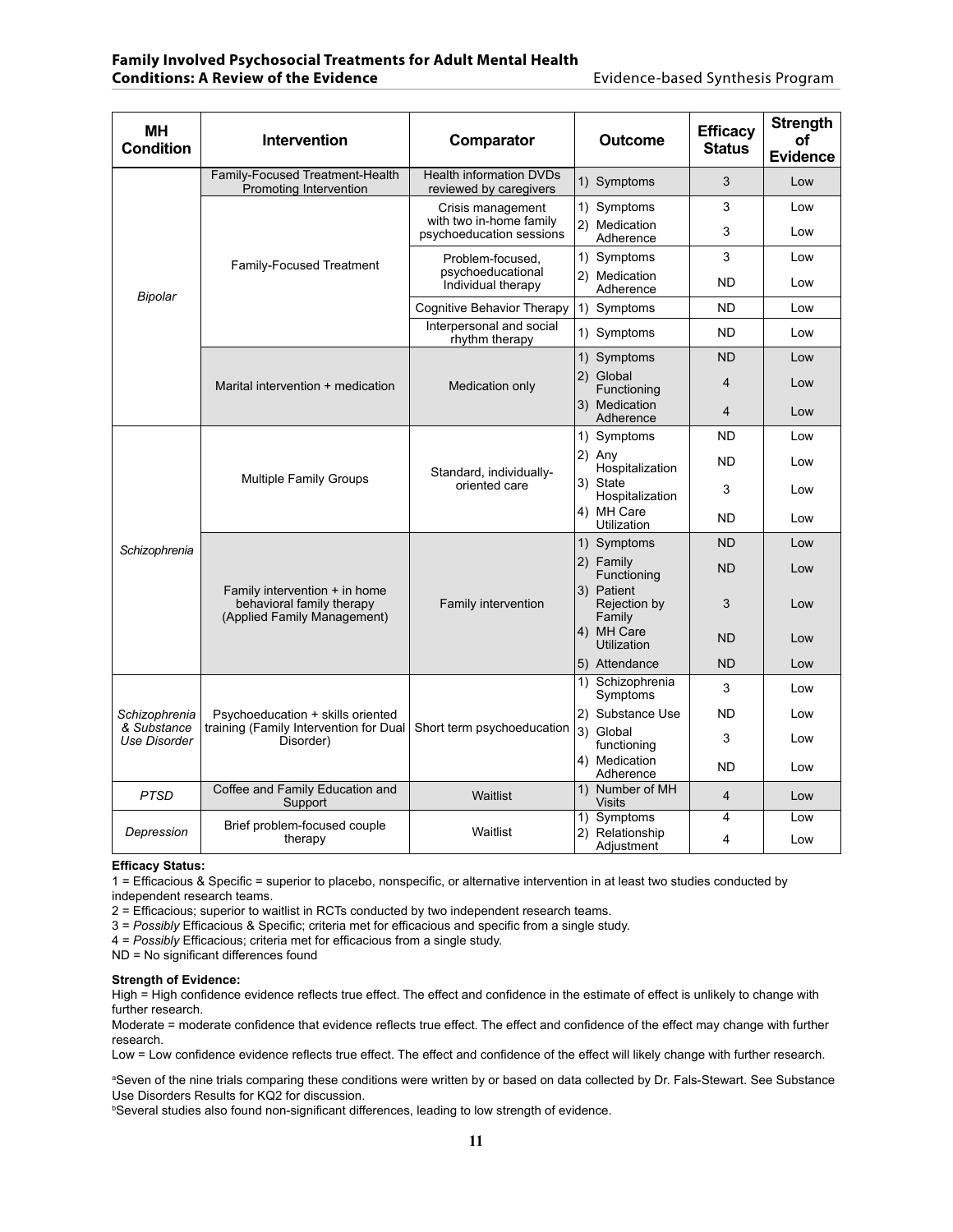#### **Family Involved Psychosocial Treatments for Adult Mental Health Conditions: A Review of the Evidence Evidence-based Synthesis Program**

| <b>MH</b><br><b>Condition</b>                | <b>Intervention</b>                                                                       | Comparator                                                               |                                                | Outcome                                   | <b>Efficacy</b><br><b>Status</b> | <b>Strength</b><br>Οf<br><b>Evidence</b> |
|----------------------------------------------|-------------------------------------------------------------------------------------------|--------------------------------------------------------------------------|------------------------------------------------|-------------------------------------------|----------------------------------|------------------------------------------|
| Bipolar                                      | Family-Focused Treatment-Health<br>Promoting Intervention                                 | <b>Health information DVDs</b><br>reviewed by caregivers                 |                                                | 1) Symptoms                               | 3                                | Low                                      |
|                                              | <b>Family-Focused Treatment</b>                                                           | Crisis management<br>with two in-home family<br>psychoeducation sessions |                                                | 1) Symptoms<br>2) Medication<br>Adherence | 3<br>3                           | Low<br>Low                               |
|                                              |                                                                                           | Problem-focused,<br>psychoeducational<br>Individual therapy              |                                                | 1) Symptoms<br>2) Medication              | 3<br><b>ND</b>                   | Low<br>Low                               |
|                                              |                                                                                           | Cognitive Behavior Therapy                                               |                                                | Adherence<br>1) Symptoms                  | <b>ND</b>                        | Low                                      |
|                                              |                                                                                           | Interpersonal and social<br>rhythm therapy                               |                                                | 1) Symptoms                               | <b>ND</b>                        | Low                                      |
|                                              |                                                                                           | Medication only                                                          |                                                | 1) Symptoms                               | <b>ND</b>                        | Low                                      |
|                                              | Marital intervention + medication                                                         |                                                                          |                                                | 2) Global<br>Functioning                  | $\overline{\mathbf{4}}$          | Low                                      |
|                                              |                                                                                           |                                                                          |                                                | 3) Medication<br>Adherence                | $\overline{4}$                   | Low                                      |
|                                              | <b>Multiple Family Groups</b>                                                             | Standard, individually-<br>oriented care                                 |                                                | 1) Symptoms                               | <b>ND</b>                        | Low                                      |
|                                              |                                                                                           |                                                                          |                                                | 2) Any<br>Hospitalization                 | <b>ND</b>                        | Low                                      |
|                                              |                                                                                           |                                                                          |                                                | 3) State<br>Hospitalization               | 3                                | Low                                      |
|                                              |                                                                                           |                                                                          |                                                | 4) MH Care<br>Utilization                 | <b>ND</b>                        | Low                                      |
| Schizophrenia                                |                                                                                           | Family intervention                                                      |                                                | 1) Symptoms                               | <b>ND</b>                        | Low                                      |
|                                              | Family intervention + in home<br>behavioral family therapy<br>(Applied Family Management) |                                                                          |                                                | 2) Family<br>Functioning                  | <b>ND</b>                        | Low                                      |
|                                              |                                                                                           |                                                                          |                                                | 3) Patient<br>Rejection by<br>Family      | 3                                | Low                                      |
|                                              |                                                                                           |                                                                          |                                                | 4) MH Care<br>Utilization                 | <b>ND</b>                        | Low                                      |
|                                              |                                                                                           |                                                                          |                                                | 5) Attendance                             | <b>ND</b>                        | Low                                      |
| Schizophrenia<br>& Substance<br>Use Disorder | Psychoeducation + skills oriented<br>training (Family Intervention for Dual<br>Disorder)  | Short term psychoeducation                                               | $\left( \begin{matrix} 1 \end{matrix} \right)$ | Schizophrenia<br>Symptoms                 | 3                                | Low                                      |
|                                              |                                                                                           |                                                                          |                                                | 2) Substance Use                          | <b>ND</b>                        | Low                                      |
|                                              |                                                                                           |                                                                          |                                                | 3) Global<br>functioning                  | 3                                | Low                                      |
|                                              |                                                                                           |                                                                          |                                                | 4) Medication<br>Adherence                | <b>ND</b>                        | Low                                      |
| <b>PTSD</b>                                  | Coffee and Family Education and<br>Support                                                | Waitlist                                                                 |                                                | 1) Number of MH<br><b>Visits</b>          | $\overline{4}$                   | Low                                      |
| Depression                                   | Brief problem-focused couple<br>therapy                                                   | Waitlist                                                                 |                                                | 1) Symptoms                               | 4                                | Low                                      |
|                                              |                                                                                           |                                                                          |                                                | 2) Relationship<br>Adjustment             | 4                                | Low                                      |

#### **Efficacy Status:**

1 = Efficacious & Specific = superior to placebo, nonspecific, or alternative intervention in at least two studies conducted by independent research teams.

2 = Efficacious; superior to waitlist in RCTs conducted by two independent research teams.

3 = *Possibly* Efficacious & Specific; criteria met for efficacious and specific from a single study.

4 = *Possibly* Efficacious; criteria met for efficacious from a single study.

ND = No significant differences found

#### **Strength of Evidence:**

High = High confidence evidence reflects true effect. The effect and confidence in the estimate of effect is unlikely to change with further research.

Moderate = moderate confidence that evidence reflects true effect. The effect and confidence of the effect may change with further research.

Low = Low confidence evidence reflects true effect. The effect and confidence of the effect will likely change with further research.

a Seven of the nine trials comparing these conditions were written by or based on data collected by Dr. Fals-Stewart. See Substance Use Disorders Results for KQ2 for discussion.

b Several studies also found non-significant differences, leading to low strength of evidence.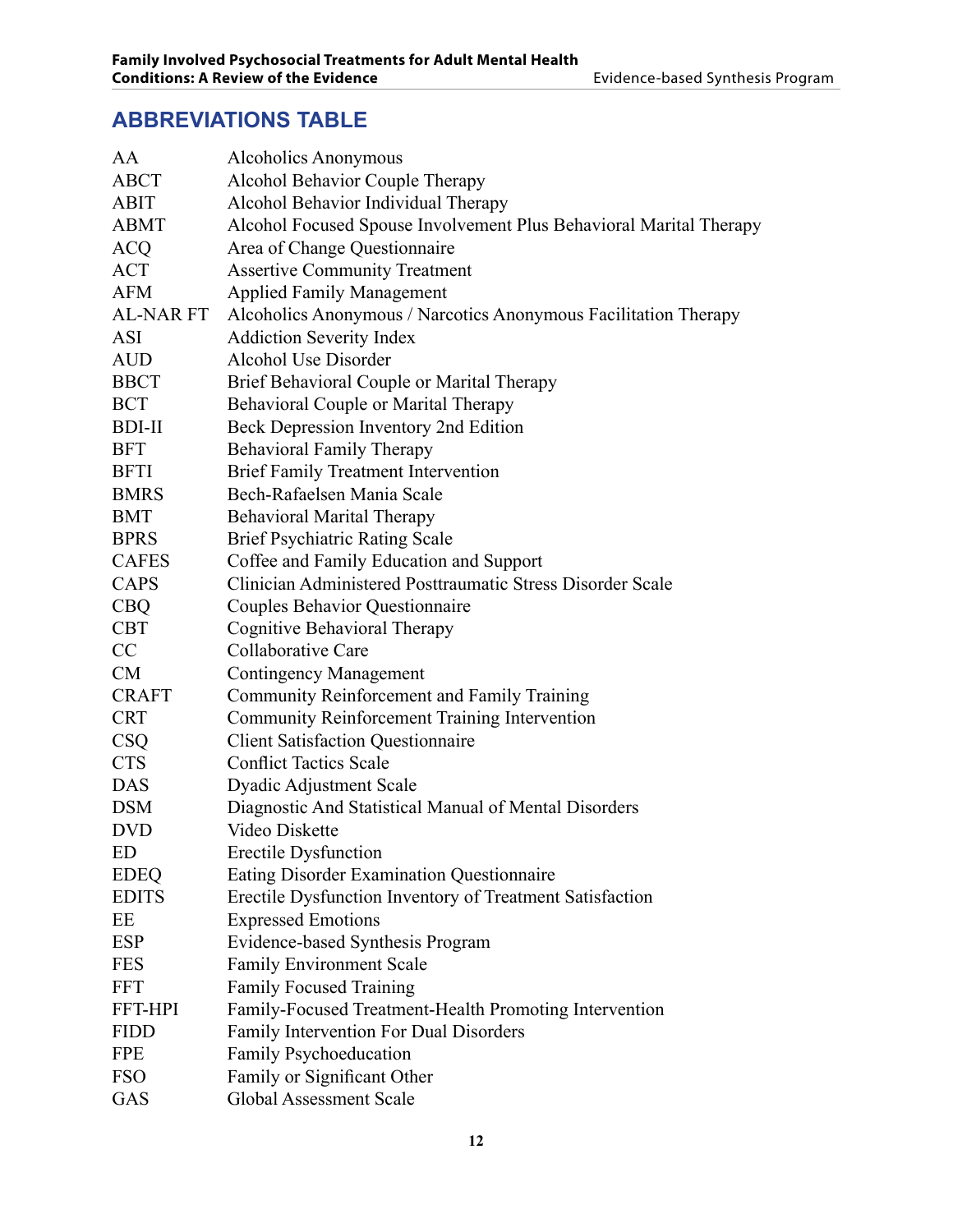## **ABBREVIATIONS TABLE**

| AA               | Alcoholics Anonymous                                               |
|------------------|--------------------------------------------------------------------|
| <b>ABCT</b>      | Alcohol Behavior Couple Therapy                                    |
| <b>ABIT</b>      | Alcohol Behavior Individual Therapy                                |
| <b>ABMT</b>      | Alcohol Focused Spouse Involvement Plus Behavioral Marital Therapy |
| <b>ACQ</b>       | Area of Change Questionnaire                                       |
| <b>ACT</b>       | <b>Assertive Community Treatment</b>                               |
| <b>AFM</b>       | <b>Applied Family Management</b>                                   |
| <b>AL-NAR FT</b> | Alcoholics Anonymous / Narcotics Anonymous Facilitation Therapy    |
| ASI              | <b>Addiction Severity Index</b>                                    |
| <b>AUD</b>       | Alcohol Use Disorder                                               |
| <b>BBCT</b>      | Brief Behavioral Couple or Marital Therapy                         |
| <b>BCT</b>       | Behavioral Couple or Marital Therapy                               |
| <b>BDI-II</b>    | Beck Depression Inventory 2nd Edition                              |
| <b>BFT</b>       | <b>Behavioral Family Therapy</b>                                   |
| <b>BFTI</b>      | <b>Brief Family Treatment Intervention</b>                         |
| <b>BMRS</b>      | Bech-Rafaelsen Mania Scale                                         |
| <b>BMT</b>       | <b>Behavioral Marital Therapy</b>                                  |
| <b>BPRS</b>      | <b>Brief Psychiatric Rating Scale</b>                              |
| <b>CAFES</b>     | Coffee and Family Education and Support                            |
| <b>CAPS</b>      | Clinician Administered Posttraumatic Stress Disorder Scale         |
| <b>CBQ</b>       | <b>Couples Behavior Questionnaire</b>                              |
| <b>CBT</b>       | <b>Cognitive Behavioral Therapy</b>                                |
| CC               | Collaborative Care                                                 |
| <b>CM</b>        | <b>Contingency Management</b>                                      |
| <b>CRAFT</b>     | Community Reinforcement and Family Training                        |
| <b>CRT</b>       | Community Reinforcement Training Intervention                      |
| <b>CSQ</b>       | <b>Client Satisfaction Questionnaire</b>                           |
| <b>CTS</b>       | <b>Conflict Tactics Scale</b>                                      |
| <b>DAS</b>       | <b>Dyadic Adjustment Scale</b>                                     |
| <b>DSM</b>       | Diagnostic And Statistical Manual of Mental Disorders              |
| <b>DVD</b>       | Video Diskette                                                     |
| <b>ED</b>        | <b>Erectile Dysfunction</b>                                        |
| <b>EDEQ</b>      | Eating Disorder Examination Questionnaire                          |
| <b>EDITS</b>     | Erectile Dysfunction Inventory of Treatment Satisfaction           |
| EE               | <b>Expressed Emotions</b>                                          |
| <b>ESP</b>       | Evidence-based Synthesis Program                                   |
| <b>FES</b>       | <b>Family Environment Scale</b>                                    |
| <b>FFT</b>       | <b>Family Focused Training</b>                                     |
| FFT-HPI          | Family-Focused Treatment-Health Promoting Intervention             |
| <b>FIDD</b>      | Family Intervention For Dual Disorders                             |
| <b>FPE</b>       | Family Psychoeducation                                             |
| <b>FSO</b>       | Family or Significant Other                                        |
| GAS              | <b>Global Assessment Scale</b>                                     |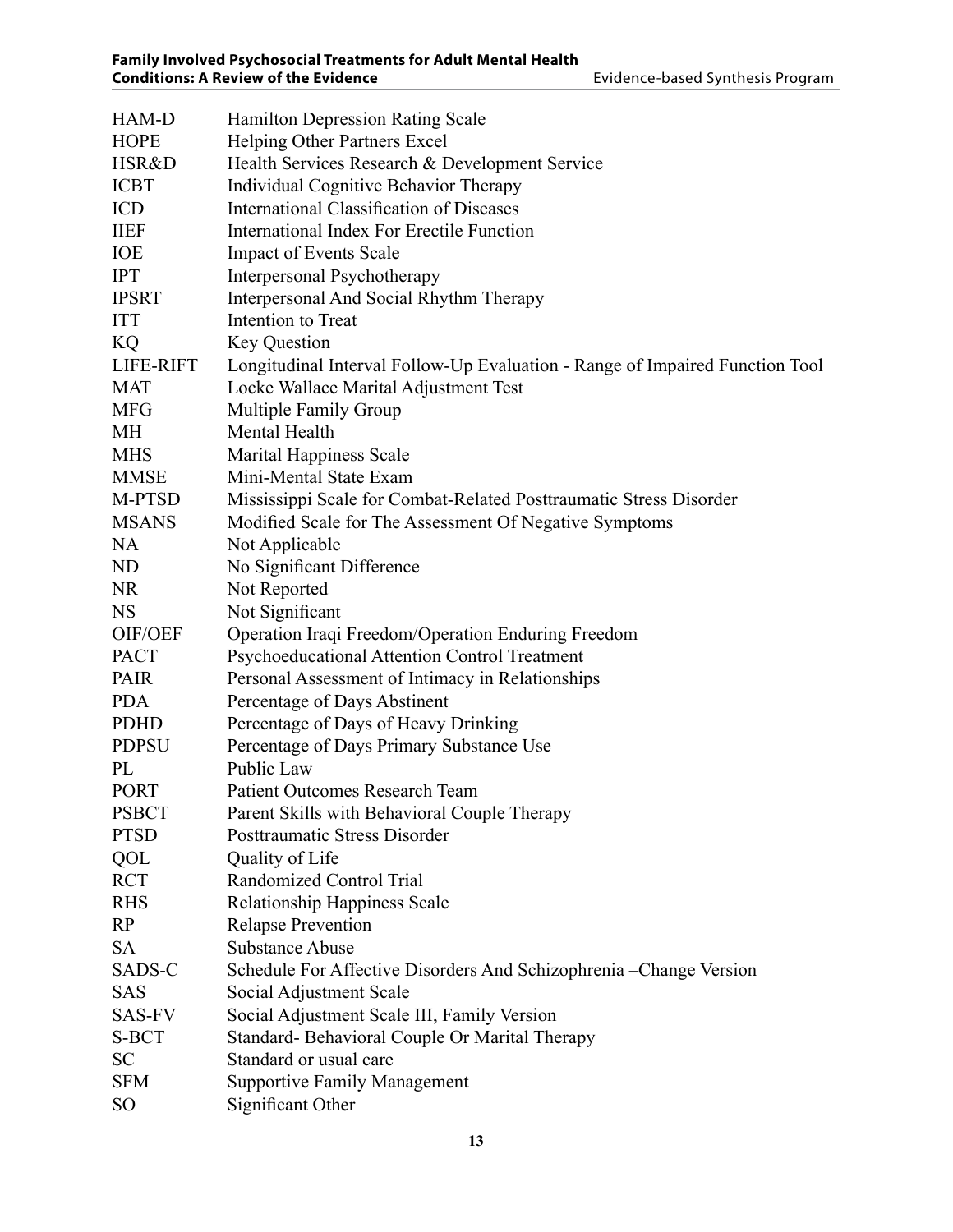| HAM-D           | <b>Hamilton Depression Rating Scale</b>                                      |
|-----------------|------------------------------------------------------------------------------|
| <b>HOPE</b>     | Helping Other Partners Excel                                                 |
| HSR&D           | Health Services Research & Development Service                               |
| <b>ICBT</b>     | Individual Cognitive Behavior Therapy                                        |
| ICD             | <b>International Classification of Diseases</b>                              |
| <b>IIEF</b>     | International Index For Erectile Function                                    |
| IOE             | <b>Impact of Events Scale</b>                                                |
| <b>IPT</b>      | Interpersonal Psychotherapy                                                  |
| <b>IPSRT</b>    | Interpersonal And Social Rhythm Therapy                                      |
| <b>ITT</b>      | Intention to Treat                                                           |
| KQ              | <b>Key Question</b>                                                          |
| LIFE-RIFT       | Longitudinal Interval Follow-Up Evaluation - Range of Impaired Function Tool |
| <b>MAT</b>      | Locke Wallace Marital Adjustment Test                                        |
| <b>MFG</b>      | <b>Multiple Family Group</b>                                                 |
| MH              | Mental Health                                                                |
| <b>MHS</b>      | <b>Marital Happiness Scale</b>                                               |
| <b>MMSE</b>     | Mini-Mental State Exam                                                       |
| M-PTSD          | Mississippi Scale for Combat-Related Posttraumatic Stress Disorder           |
| <b>MSANS</b>    | Modified Scale for The Assessment Of Negative Symptoms                       |
| <b>NA</b>       | Not Applicable                                                               |
| ND              | No Significant Difference                                                    |
| <b>NR</b>       | Not Reported                                                                 |
| <b>NS</b>       | Not Significant                                                              |
| OIF/OEF         | Operation Iraqi Freedom/Operation Enduring Freedom                           |
| <b>PACT</b>     | Psychoeducational Attention Control Treatment                                |
| <b>PAIR</b>     | Personal Assessment of Intimacy in Relationships                             |
| <b>PDA</b>      | Percentage of Days Abstinent                                                 |
| <b>PDHD</b>     | Percentage of Days of Heavy Drinking                                         |
| <b>PDPSU</b>    | Percentage of Days Primary Substance Use                                     |
| PL              | Public Law                                                                   |
| <b>PORT</b>     | <b>Patient Outcomes Research Team</b>                                        |
| <b>PSBCT</b>    | Parent Skills with Behavioral Couple Therapy                                 |
| <b>PTSD</b>     | Posttraumatic Stress Disorder                                                |
| QOL             | Quality of Life                                                              |
| <b>RCT</b>      | Randomized Control Trial                                                     |
| <b>RHS</b>      | <b>Relationship Happiness Scale</b>                                          |
| RP              | <b>Relapse Prevention</b>                                                    |
| <b>SA</b>       | <b>Substance Abuse</b>                                                       |
| SADS-C          | Schedule For Affective Disorders And Schizophrenia – Change Version          |
| <b>SAS</b>      | Social Adjustment Scale                                                      |
| <b>SAS-FV</b>   | Social Adjustment Scale III, Family Version                                  |
| S-BCT           | Standard-Behavioral Couple Or Marital Therapy                                |
| <b>SC</b>       | Standard or usual care                                                       |
| <b>SFM</b>      | <b>Supportive Family Management</b>                                          |
| SO <sub>1</sub> | Significant Other                                                            |